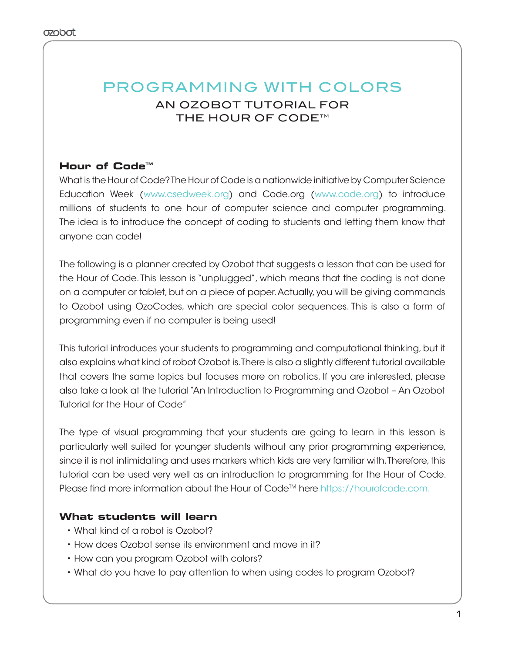# PROGRAMMING WITH COLORS AN OZOBOT TUTORIAL FOR THE HOUR OF CODE<sup>™</sup>

# **Hour of Code™**

What is the Hour of Code? The Hour of Code is a nationwide initiative by Computer Science Education Week (www.csedweek.org) and Code.org (www.code.org) to introduce millions of students to one hour of computer science and computer programming. The idea is to introduce the concept of coding to students and letting them know that anyone can code!

The following is a planner created by Ozobot that suggests a lesson that can be used for the Hour of Code. This lesson is "unplugged", which means that the coding is not done on a computer or tablet, but on a piece of paper. Actually, you will be giving commands to Ozobot using OzoCodes, which are special color sequences. This is also a form of programming even if no computer is being used!

This tutorial introduces your students to programming and computational thinking, but it also explains what kind of robot Ozobot is. There is also a slightly different tutorial available that covers the same topics but focuses more on robotics. If you are interested, please also take a look at the tutorial "An Introduction to Programming and Ozobot – An Ozobot Tutorial for the Hour of Code"

The type of visual programming that your students are going to learn in this lesson is particularly well suited for younger students without any prior programming experience, since it is not intimidating and uses markers which kids are very familiar with. Therefore, this tutorial can be used very well as an introduction to programming for the Hour of Code. Please find more information about the Hour of Code™ here https://hourofcode.com.

## **What students will learn**

- What kind of a robot is Ozobot?
- How does Ozobot sense its environment and move in it?
- How can you program Ozobot with colors?
- What do you have to pay attention to when using codes to program Ozobot?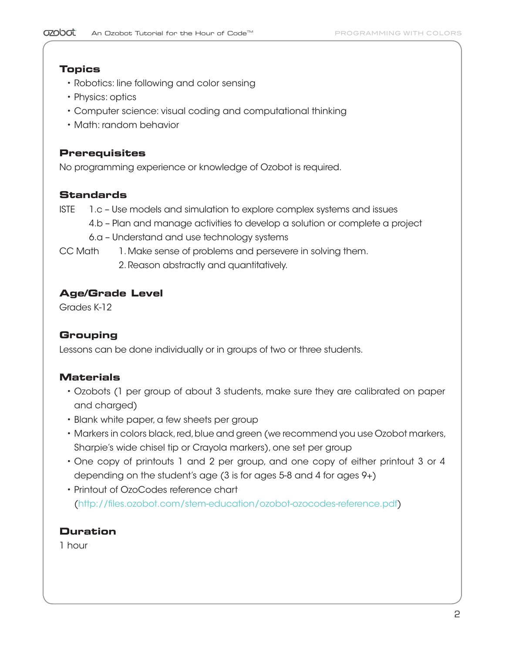### **Topics**

- Robotics: line following and color sensing
- Physics: optics
- Computer science: visual coding and computational thinking
- Math: random behavior

## **Prerequisites**

No programming experience or knowledge of Ozobot is required.

## **Standards**

ISTE 1.c – Use models and simulation to explore complex systems and issues

- 4.b Plan and manage activities to develop a solution or complete a project
- 6.a Understand and use technology systems
- CC Math 1. Make sense of problems and persevere in solving them.
	- 2. Reason abstractly and quantitatively.

## **Age/Grade Level**

Grades K-12

# **Grouping**

Lessons can be done individually or in groups of two or three students.

# **Materials**

- Ozobots (1 per group of about 3 students, make sure they are calibrated on paper and charged)
- Blank white paper, a few sheets per group
- Markers in colors black, red, blue and green (we recommend you use Ozobot markers, Sharpie's wide chisel tip or Crayola markers), one set per group
- One copy of printouts 1 and 2 per group, and one copy of either printout 3 or 4 depending on the student's age (3 is for ages 5-8 and 4 for ages 9+)
- Printout of OzoCodes reference chart (http://files.ozobot.com/stem-education/ozobot-ozocodes-reference.pdf)

## **Duration**

1 hour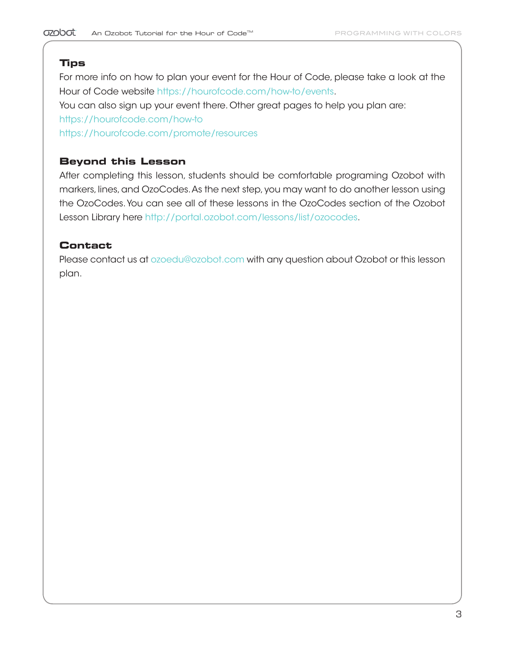## **Tips**

For more info on how to plan your event for the Hour of Code, please take a look at the Hour of Code website https://hourofcode.com/how-to/events.

You can also sign up your event there. Other great pages to help you plan are:

https://hourofcode.com/how-to

https://hourofcode.com/promote/resources

## **Beyond this Lesson**

After completing this lesson, students should be comfortable programing Ozobot with markers, lines, and OzoCodes. As the next step, you may want to do another lesson using the OzoCodes. You can see all of these lessons in the OzoCodes section of the Ozobot Lesson Library here http://portal.ozobot.com/lessons/list/ozocodes.

## **Contact**

Please contact us at ozoedu@ozobot.com with any question about Ozobot or this lesson plan.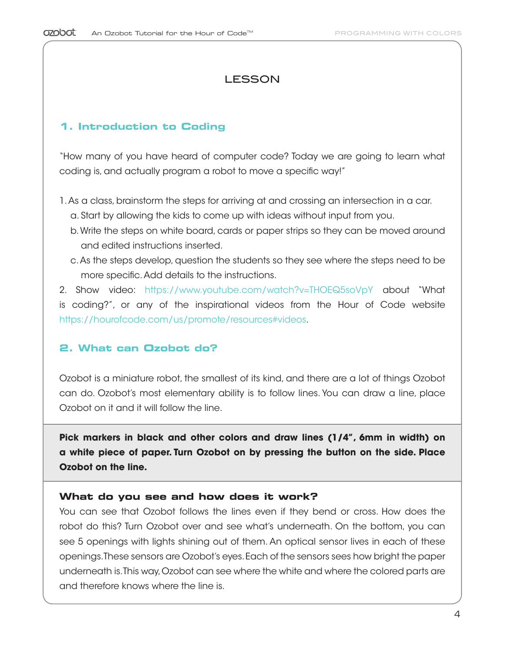# LESSON

#### **1. Introduction to Coding**

"How many of you have heard of computer code? Today we are going to learn what coding is, and actually program a robot to move a specific way!"

- 1. As a class, brainstorm the steps for arriving at and crossing an intersection in a car. a. Start by allowing the kids to come up with ideas without input from you.
	- b. Write the steps on white board, cards or paper strips so they can be moved around and edited instructions inserted.
	- c. As the steps develop, question the students so they see where the steps need to be more specific. Add details to the instructions.

2. Show video: https://www.youtube.com/watch?v=THOEQ5soVpY about "What is coding?", or any of the inspirational videos from the Hour of Code website https://hourofcode.com/us/promote/resources#videos.

### **2. What can Ozobot do?**

Ozobot is a miniature robot, the smallest of its kind, and there are a lot of things Ozobot can do. Ozobot's most elementary ability is to follow lines. You can draw a line, place Ozobot on it and it will follow the line.

**Pick markers in black and other colors and draw lines (1/4", 6mm in width) on a white piece of paper. Turn Ozobot on by pressing the button on the side. Place Ozobot on the line.**

#### **What do you see and how does it work?**

You can see that Ozobot follows the lines even if they bend or cross. How does the robot do this? Turn Ozobot over and see what's underneath. On the bottom, you can see 5 openings with lights shining out of them. An optical sensor lives in each of these openings. These sensors are Ozobot's eyes. Each of the sensors sees how bright the paper underneath is. This way, Ozobot can see where the white and where the colored parts are and therefore knows where the line is.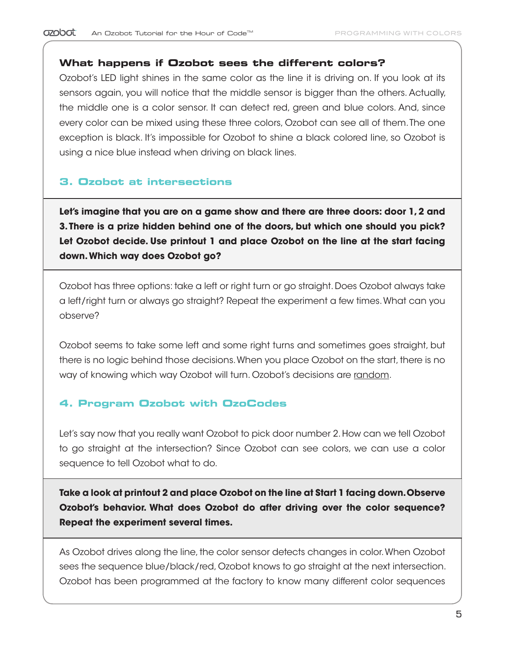#### **What happens if Ozobot sees the different colors?**

Ozobot's LED light shines in the same color as the line it is driving on. If you look at its sensors again, you will notice that the middle sensor is bigger than the others. Actually, the middle one is a color sensor. It can detect red, green and blue colors. And, since every color can be mixed using these three colors, Ozobot can see all of them. The one exception is black. It's impossible for Ozobot to shine a black colored line, so Ozobot is using a nice blue instead when driving on black lines.

#### **3. Ozobot at intersections**

**Let's imagine that you are on a game show and there are three doors: door 1, 2 and 3. There is a prize hidden behind one of the doors, but which one should you pick? Let Ozobot decide. Use printout 1 and place Ozobot on the line at the start facing down. Which way does Ozobot go?**

Ozobot has three options: take a left or right turn or go straight. Does Ozobot always take a left/right turn or always go straight? Repeat the experiment a few times. What can you observe?

Ozobot seems to take some left and some right turns and sometimes goes straight, but there is no logic behind those decisions. When you place Ozobot on the start, there is no way of knowing which way Ozobot will turn. Ozobot's decisions are random.

### **4. Program Ozobot with OzoCodes**

Let's say now that you really want Ozobot to pick door number 2. How can we tell Ozobot to go straight at the intersection? Since Ozobot can see colors, we can use a color sequence to tell Ozobot what to do.

**Take a look at printout 2 and place Ozobot on the line at Start 1 facing down. Observe Ozobot's behavior. What does Ozobot do after driving over the color sequence? Repeat the experiment several times.**

As Ozobot drives along the line, the color sensor detects changes in color. When Ozobot sees the sequence blue/black/red, Ozobot knows to go straight at the next intersection. Ozobot has been programmed at the factory to know many different color sequences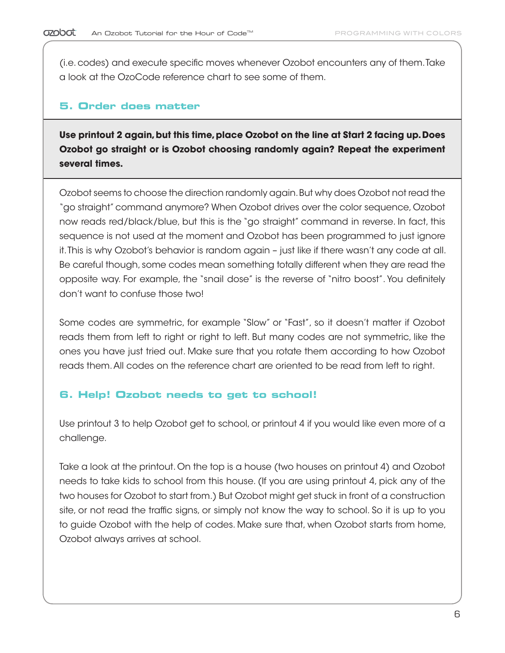(i.e. codes) and execute specific moves whenever Ozobot encounters any of them. Take a look at the OzoCode reference chart to see some of them.

#### **5. Order does matter**

**Use printout 2 again, but this time, place Ozobot on the line at Start 2 facing up. Does Ozobot go straight or is Ozobot choosing randomly again? Repeat the experiment several times.** 

Ozobot seems to choose the direction randomly again. But why does Ozobot not read the "go straight" command anymore? When Ozobot drives over the color sequence, Ozobot now reads red/black/blue, but this is the "go straight" command in reverse. In fact, this sequence is not used at the moment and Ozobot has been programmed to just ignore it. This is why Ozobot's behavior is random again – just like if there wasn't any code at all. Be careful though, some codes mean something totally different when they are read the opposite way. For example, the "snail dose" is the reverse of "nitro boost". You definitely don't want to confuse those two!

Some codes are symmetric, for example "Slow" or "Fast", so it doesn't matter if Ozobot reads them from left to right or right to left. But many codes are not symmetric, like the ones you have just tried out. Make sure that you rotate them according to how Ozobot reads them. All codes on the reference chart are oriented to be read from left to right.

### **6. Help! Ozobot needs to get to school!**

Use printout 3 to help Ozobot get to school, or printout 4 if you would like even more of a challenge.

Take a look at the printout. On the top is a house (two houses on printout 4) and Ozobot needs to take kids to school from this house. (If you are using printout 4, pick any of the two houses for Ozobot to start from.) But Ozobot might get stuck in front of a construction site, or not read the traffic signs, or simply not know the way to school. So it is up to you to guide Ozobot with the help of codes. Make sure that, when Ozobot starts from home, Ozobot always arrives at school.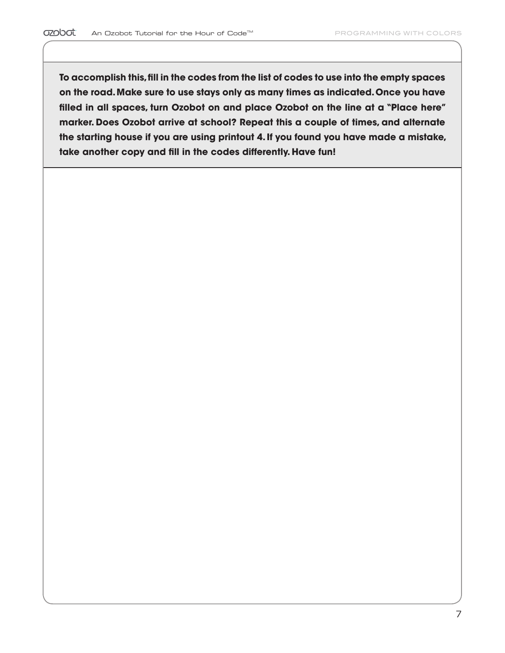$\overline{a}$ 

**To accomplish this, fill in the codes from the list of codes to use into the empty spaces on the road. Make sure to use stays only as many times as indicated. Once you have filled in all spaces, turn Ozobot on and place Ozobot on the line at a "Place here" marker. Does Ozobot arrive at school? Repeat this a couple of times, and alternate the starting house if you are using printout 4. If you found you have made a mistake, take another copy and fill in the codes differently. Have fun!**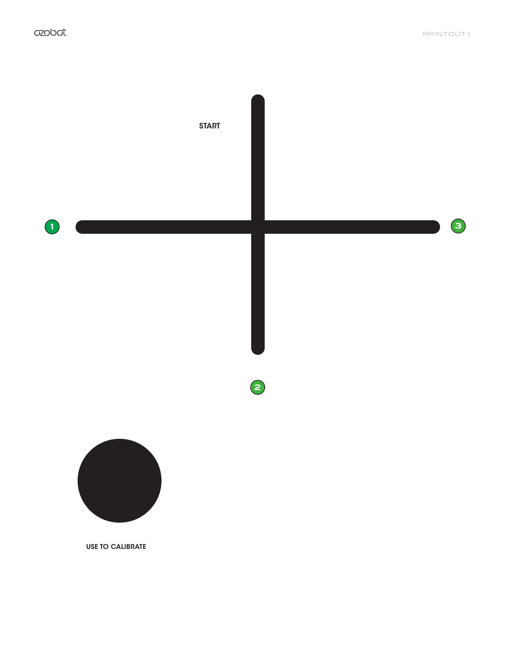

USE TO CALIBRATE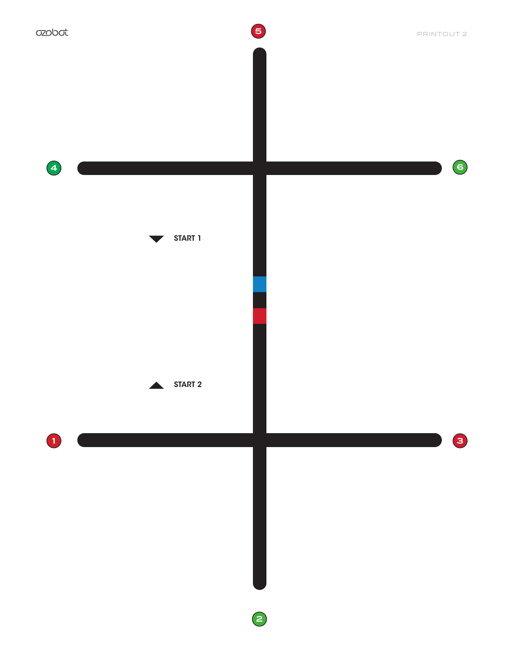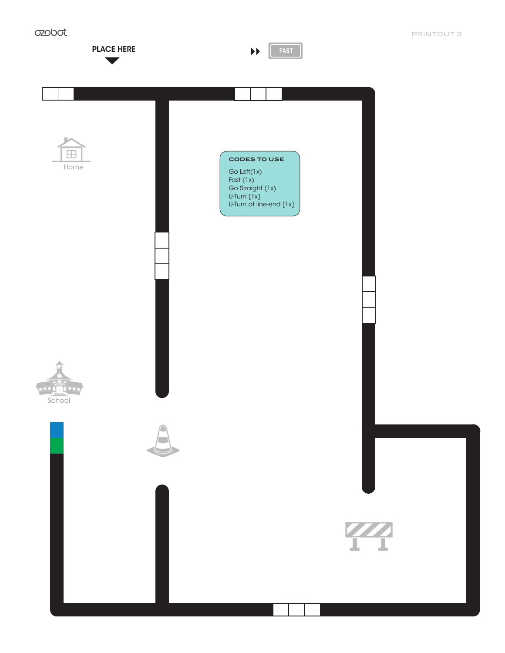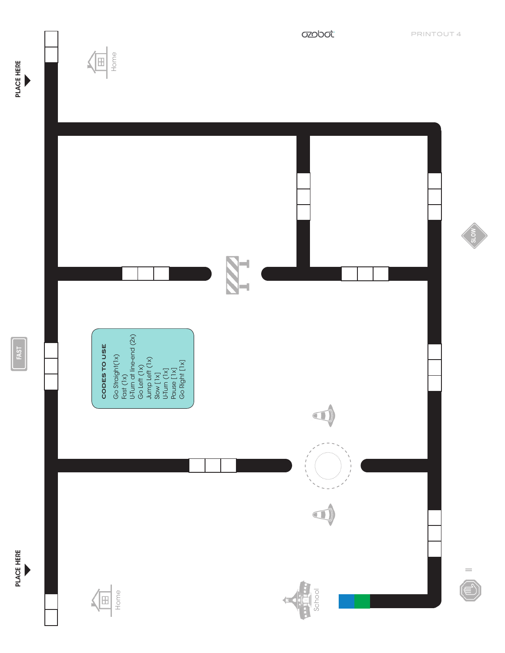

 $\left(\frac{1}{\frac{1}{2}}\right)$ 



**FAST**

PLACE HERE

PLACE HERE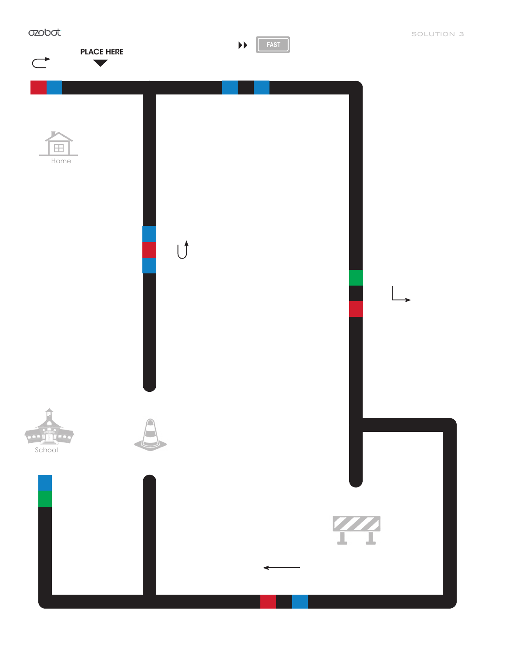